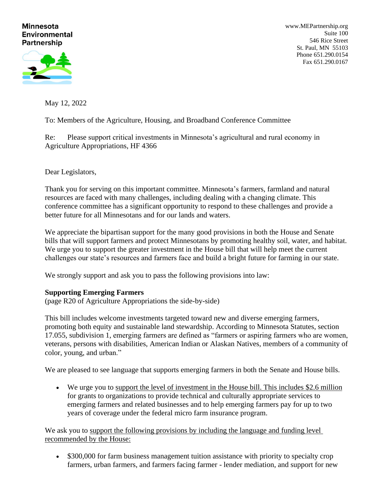#### **Minnesota Environmental Partnership**

[www.MEPartnership.org](http://www.mepartnership.org/) Suite 100 546 Rice Street St. Paul, MN 55103 Phone 651.290.0154 Fax 651.290.0167

May 12, 2022

To: Members of the Agriculture, Housing, and Broadband Conference Committee

Re: Please support critical investments in Minnesota's agricultural and rural economy in Agriculture Appropriations, HF 4366

Dear Legislators,

Thank you for serving on this important committee. Minnesota's farmers, farmland and natural resources are faced with many challenges, including dealing with a changing climate. This conference committee has a significant opportunity to respond to these challenges and provide a better future for all Minnesotans and for our lands and waters.

We appreciate the bipartisan support for the many good provisions in both the House and Senate bills that will support farmers and protect Minnesotans by promoting healthy soil, water, and habitat. We urge you to support the greater investment in the House bill that will help meet the current challenges our state's resources and farmers face and build a bright future for farming in our state.

We strongly support and ask you to pass the following provisions into law:

# **Supporting Emerging Farmers**

(page R20 of Agriculture Appropriations the side-by-side)

This bill includes welcome investments targeted toward new and diverse emerging farmers, promoting both equity and sustainable land stewardship. According to Minnesota Statutes, section 17.055, subdivision 1, emerging farmers are defined as "farmers or aspiring farmers who are women, veterans, persons with disabilities, American Indian or Alaskan Natives, members of a community of color, young, and urban."

We are pleased to see language that supports emerging farmers in both the Senate and House bills.

• We urge you to support the level of investment in the House bill. This includes \$2.6 million for grants to organizations to provide technical and culturally appropriate services to emerging farmers and related businesses and to help emerging farmers pay for up to two years of coverage under the federal micro farm insurance program.

We ask you to support the following provisions by including the language and funding level recommended by the House:

• \$300,000 for farm business management tuition assistance with priority to specialty crop farmers, urban farmers, and farmers facing farmer - lender mediation, and support for new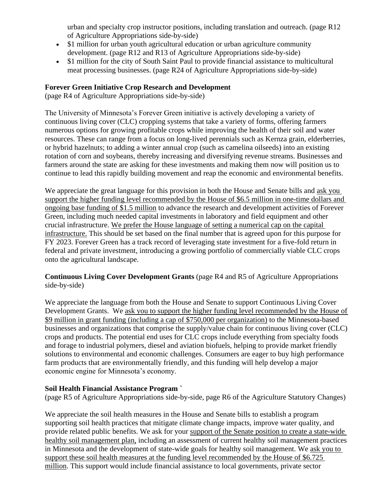urban and specialty crop instructor positions, including translation and outreach. (page R12 of Agriculture Appropriations side-by-side)

- \$1 million for urban youth agricultural education or urban agriculture community development. (page R12 and R13 of Agriculture Appropriations side-by-side)
- \$1 million for the city of South Saint Paul to provide financial assistance to multicultural meat processing businesses. (page R24 of Agriculture Appropriations side-by-side)

# **Forever Green Initiative Crop Research and Development**

(page R4 of Agriculture Appropriations side-by-side)

The University of Minnesota's Forever Green initiative is actively developing a variety of continuous living cover (CLC) cropping systems that take a variety of forms, offering farmers numerous options for growing profitable crops while improving the health of their soil and water resources. These can range from a focus on long-lived perennials such as Kernza grain, elderberries, or hybrid hazelnuts; to adding a winter annual crop (such as camelina oilseeds) into an existing rotation of corn and soybeans, thereby increasing and diversifying revenue streams. Businesses and farmers around the state are asking for these investments and making them now will position us to continue to lead this rapidly building movement and reap the economic and environmental benefits.

We appreciate the great language for this provision in both the House and Senate bills and ask you support the higher funding level recommended by the House of \$6.5 million in one-time dollars and ongoing base funding of \$1.5 million to advance the research and development activities of Forever Green, including much needed capital investments in laboratory and field equipment and other crucial infrastructure. We prefer the House language of setting a numerical cap on the capital infrastructure. This should be set based on the final number that is agreed upon for this purpose for FY 2023. Forever Green has a track record of leveraging state investment for a five-fold return in federal and private investment, introducing a growing portfolio of commercially viable CLC crops onto the agricultural landscape.

**Continuous Living Cover Development Grants** (page R4 and R5 of Agriculture Appropriations side-by-side)

We appreciate the language from both the House and Senate to support Continuous Living Cover Development Grants. We ask you to support the higher funding level recommended by the House of \$9 million in grant funding (including a cap of \$750,000 per organization) to the Minnesota-based businesses and organizations that comprise the supply/value chain for continuous living cover (CLC) crops and products. The potential end uses for CLC crops include everything from specialty foods and forage to industrial polymers, diesel and aviation biofuels, helping to provide market friendly solutions to environmental and economic challenges. Consumers are eager to buy high performance farm products that are environmentally friendly, and this funding will help develop a major economic engine for Minnesota's economy.

# **Soil Health Financial Assistance Program `**

(page R5 of Agriculture Appropriations side-by-side, page R6 of the Agriculture Statutory Changes)

We appreciate the soil health measures in the House and Senate bills to establish a program supporting soil health practices that mitigate climate change impacts, improve water quality, and provide related public benefits. We ask for your support of the Senate position to create a state-wide healthy soil management plan, including an assessment of current healthy soil management practices in Minnesota and the development of state-wide goals for healthy soil management. We ask you to support these soil health measures at the funding level recommended by the House of \$6.725 million. This support would include financial assistance to local governments, private sector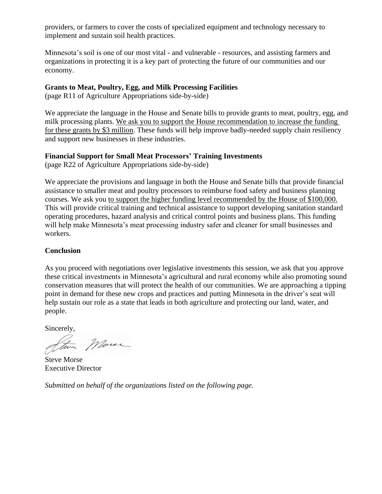providers, or farmers to cover the costs of specialized equipment and technology necessary to implement and sustain soil health practices.

Minnesota's soil is one of our most vital - and vulnerable - resources, and assisting farmers and organizations in protecting it is a key part of protecting the future of our communities and our economy.

### **Grants to Meat, Poultry, Egg, and Milk Processing Facilities**

(page R11 of Agriculture Appropriations side-by-side)

We appreciate the language in the House and Senate bills to provide grants to meat, poultry, egg, and milk processing plants. We ask you to support the House recommendation to increase the funding for these grants by \$3 million. These funds will help improve badly-needed supply chain resiliency and support new businesses in these industries.

#### **Financial Support for Small Meat Processors' Training Investments**

(page R22 of Agriculture Appropriations side-by-side)

We appreciate the provisions and language in both the House and Senate bills that provide financial assistance to smaller meat and poultry processors to reimburse food safety and business planning courses. We ask you to support the higher funding level recommended by the House of \$100,000. This will provide critical training and technical assistance to support developing sanitation standard operating procedures, hazard analysis and critical control points and business plans. This funding will help make Minnesota's meat processing industry safer and cleaner for small businesses and workers.

#### **Conclusion**

As you proceed with negotiations over legislative investments this session, we ask that you approve these critical investments in Minnesota's agricultural and rural economy while also promoting sound conservation measures that will protect the health of our communities. We are approaching a tipping point in demand for these new crops and practices and putting Minnesota in the driver's seat will help sustain our role as a state that leads in both agriculture and protecting our land, water, and people.

Sincerely,

More Steve

Steve Morse Executive Director

*Submitted on behalf of the organizations listed on the following page.*